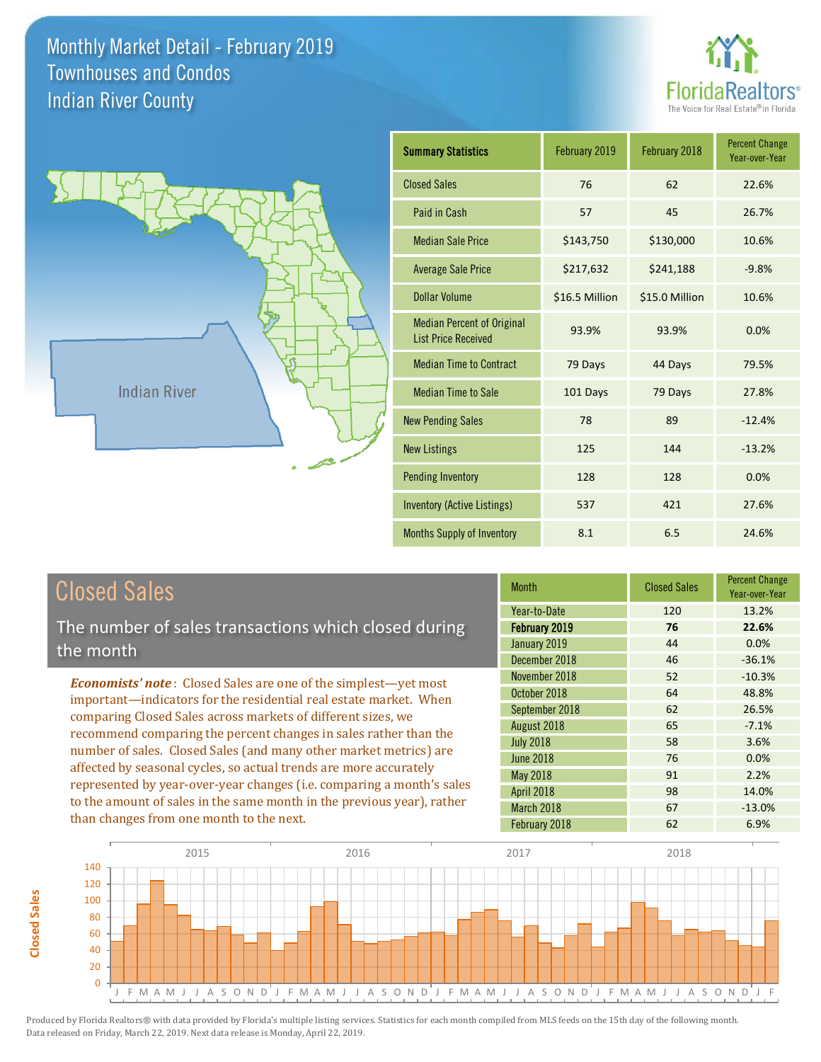



**Closed Sales**

**Closed Sales** 

| <b>Summary Statistics</b>                                       | February 2019  | February 2018  | <b>Percent Change</b><br>Year-over-Year |
|-----------------------------------------------------------------|----------------|----------------|-----------------------------------------|
| <b>Closed Sales</b>                                             | 76             | 62             | 22.6%                                   |
| Paid in Cash                                                    | 57             | 45             | 26.7%                                   |
| <b>Median Sale Price</b>                                        | \$143,750      | \$130,000      | 10.6%                                   |
| <b>Average Sale Price</b>                                       | \$217,632      | \$241,188      | $-9.8%$                                 |
| <b>Dollar Volume</b>                                            | \$16.5 Million | \$15.0 Million | 10.6%                                   |
| <b>Median Percent of Original</b><br><b>List Price Received</b> | 93.9%          | 93.9%          | 0.0%                                    |
| <b>Median Time to Contract</b>                                  | 79 Days        | 44 Days        | 79.5%                                   |
| <b>Median Time to Sale</b>                                      | 101 Days       | 79 Days        | 27.8%                                   |
| <b>New Pending Sales</b>                                        | 78             | 89             | $-12.4%$                                |
| <b>New Listings</b>                                             | 125            | 144            | $-13.2%$                                |
| <b>Pending Inventory</b>                                        | 128            | 128            | 0.0%                                    |
| <b>Inventory (Active Listings)</b>                              | 537            | 421            | 27.6%                                   |
| Months Supply of Inventory                                      | 8.1            | 6.5            | 24.6%                                   |

| <b>Closed Sales</b>                                                    | <b>Month</b>     | <b>Closed Sales</b> | <b>Percent Change</b><br>Year-over-Year |
|------------------------------------------------------------------------|------------------|---------------------|-----------------------------------------|
|                                                                        | Year-to-Date     | 120                 | 13.2%                                   |
| The number of sales transactions which closed during                   | February 2019    | 76                  | 22.6%                                   |
| the month                                                              | January 2019     | 44                  | $0.0\%$                                 |
|                                                                        | December 2018    | 46                  | $-36.1%$                                |
| <b>Economists' note:</b> Closed Sales are one of the simplest—yet most | November 2018    | 52                  | $-10.3%$                                |
| important-indicators for the residential real estate market. When      | October 2018     | 64                  | 48.8%                                   |
| comparing Closed Sales across markets of different sizes, we           | September 2018   | 62                  | 26.5%                                   |
| recommend comparing the percent changes in sales rather than the       | August 2018      | 65                  | $-7.1%$                                 |
| number of sales. Closed Sales (and many other market metrics) are      | <b>July 2018</b> | 58                  | 3.6%                                    |
| affected by seasonal cycles, so actual trends are more accurately      | <b>June 2018</b> | 76                  | $0.0\%$                                 |
|                                                                        | <b>May 2018</b>  | 91                  | 2.2%                                    |
| represented by year-over-year changes (i.e. comparing a month's sales  | April 2018       | 98                  | 14.0%                                   |
| to the amount of sales in the same month in the previous year), rather | March 2018       | 67                  | $-13.0\%$                               |
| than changes from one month to the next.                               | February 2018    | 62                  | 6.9%                                    |

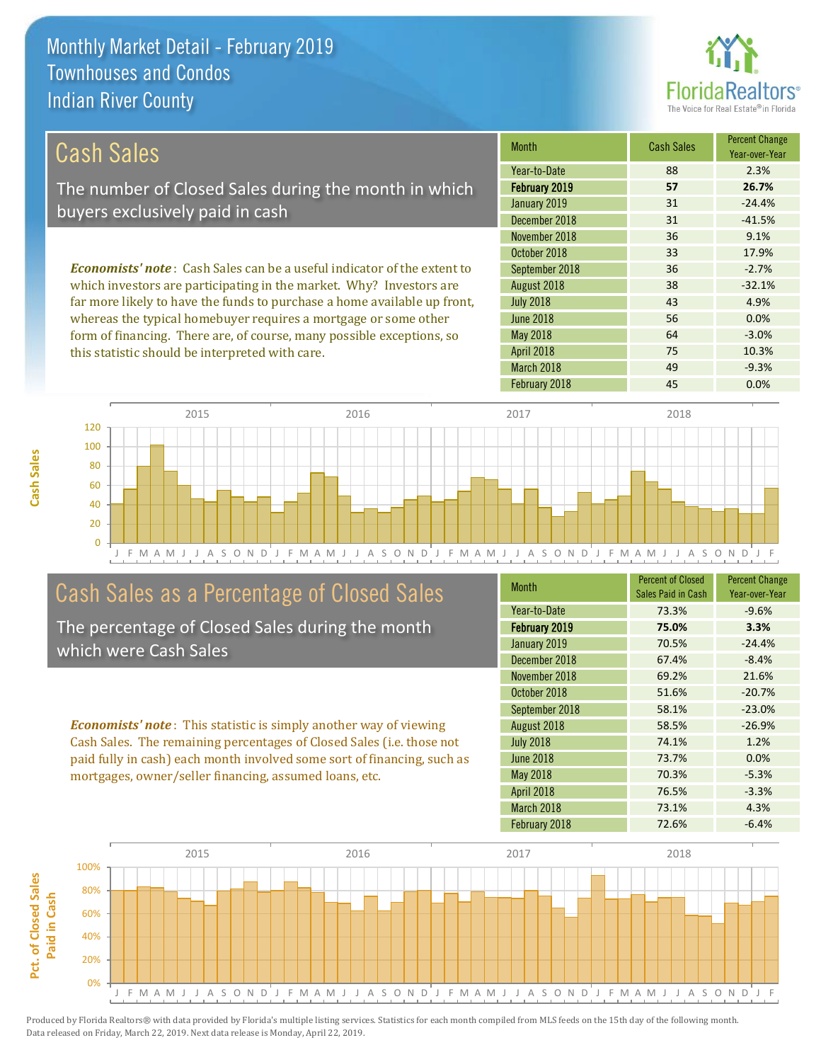this statistic should be interpreted with care.



64 -3.0%

75 10.3%

| Cash Sales                                                                     | <b>Month</b>     | <b>Cash Sales</b> | <b>Percent Change</b><br>Year-over-Year |
|--------------------------------------------------------------------------------|------------------|-------------------|-----------------------------------------|
|                                                                                | Year-to-Date     | 88                | 2.3%                                    |
| The number of Closed Sales during the month in which                           | February 2019    | 57                | 26.7%                                   |
| buyers exclusively paid in cash                                                | January 2019     | 31                | $-24.4%$                                |
|                                                                                | December 2018    | 31                | $-41.5%$                                |
|                                                                                | November 2018    | 36                | 9.1%                                    |
|                                                                                | October 2018     | 33                | 17.9%                                   |
| <b>Economists' note:</b> Cash Sales can be a useful indicator of the extent to | September 2018   | 36                | $-2.7%$                                 |
| which investors are participating in the market. Why? Investors are            | August 2018      | 38                | $-32.1%$                                |
| far more likely to have the funds to purchase a home available up front,       | <b>July 2018</b> | 43                | 4.9%                                    |
| whereas the typical homebuyer requires a mortgage or some other                | June 2018        | 56                | 0.0%                                    |

April 2018

May 2018



## Cash Sales as a Percentage of Closed Sales

form of financing. There are, of course, many possible exceptions, so

The percentage of Closed Sales during the month which were Cash Sales

*Economists' note* : This statistic is simply another way of viewing Cash Sales. The remaining percentages of Closed Sales (i.e. those not paid fully in cash) each month involved some sort of financing, such as mortgages, owner/seller financing, assumed loans, etc.

| <b>Month</b>     | <b>Percent of Closed</b><br>Sales Paid in Cash | <b>Percent Change</b><br>Year-over-Year |
|------------------|------------------------------------------------|-----------------------------------------|
| Year-to-Date     | 73.3%                                          | $-9.6%$                                 |
| February 2019    | 75.0%                                          | 3.3%                                    |
| January 2019     | 70.5%                                          | $-24.4%$                                |
| December 2018    | 67.4%                                          | $-8.4%$                                 |
| November 2018    | 69.2%                                          | 21.6%                                   |
| October 2018     | 51.6%                                          | $-20.7%$                                |
| September 2018   | 58.1%                                          | $-23.0%$                                |
| August 2018      | 58.5%                                          | $-26.9%$                                |
| <b>July 2018</b> | 74.1%                                          | 1.2%                                    |
| <b>June 2018</b> | 73.7%                                          | 0.0%                                    |
| May 2018         | 70.3%                                          | $-5.3%$                                 |
| April 2018       | 76.5%                                          | $-3.3%$                                 |
| March 2018       | 73.1%                                          | 4.3%                                    |
| February 2018    | 72.6%                                          | $-6.4%$                                 |

March 2018 **49** -9.3%



Produced by Florida Realtors® with data provided by Florida's multiple listing services. Statistics for each month compiled from MLS feeds on the 15th day of the following month. Data released on Friday, March 22, 2019. Next data release is Monday, April 22, 2019.

**Pct. of Closed Sales** 

Pct. of Closed Sales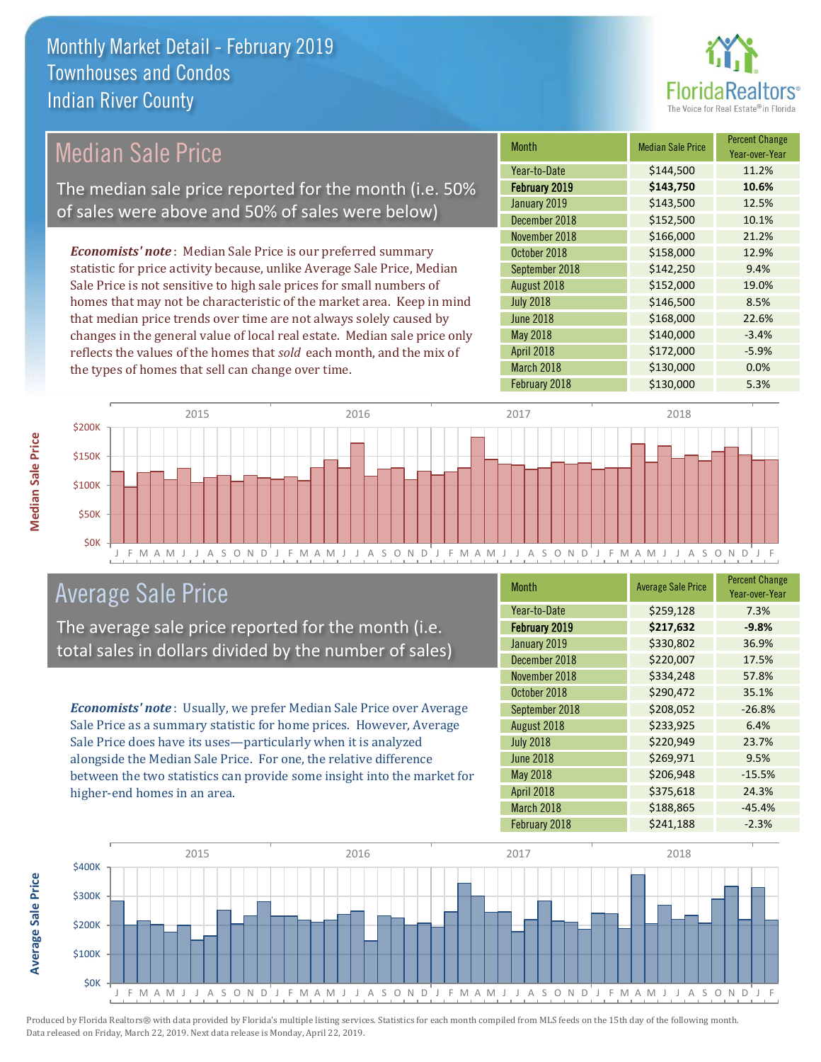

## Median Sale Price

The median sale price reported for the month (i.e. 50% of sales were above and 50% of sales were below)

*Economists' note* : Median Sale Price is our preferred summary statistic for price activity because, unlike Average Sale Price, Median Sale Price is not sensitive to high sale prices for small numbers of homes that may not be characteristic of the market area. Keep in mind that median price trends over time are not always solely caused by changes in the general value of local real estate. Median sale price only reflects the values of the homes that *sold* each month, and the mix of the types of homes that sell can change over time.

| <b>Month</b>     | <b>Median Sale Price</b> | <b>Percent Change</b><br>Year-over-Year |
|------------------|--------------------------|-----------------------------------------|
| Year-to-Date     | \$144,500                | 11.2%                                   |
| February 2019    | \$143,750                | 10.6%                                   |
| January 2019     | \$143,500                | 12.5%                                   |
| December 2018    | \$152,500                | 10.1%                                   |
| November 2018    | \$166,000                | 21.2%                                   |
| October 2018     | \$158,000                | 12.9%                                   |
| September 2018   | \$142,250                | 9.4%                                    |
| August 2018      | \$152,000                | 19.0%                                   |
| <b>July 2018</b> | \$146,500                | 8.5%                                    |
| <b>June 2018</b> | \$168,000                | 22.6%                                   |
| <b>May 2018</b>  | \$140,000                | $-3.4%$                                 |
| April 2018       | \$172,000                | $-5.9%$                                 |
| March 2018       | \$130,000                | 0.0%                                    |
| February 2018    | \$130,000                | 5.3%                                    |



#### Average Sale Price

The average sale price reported for the month (i.e. total sales in dollars divided by the number of sales)

*Economists' note* : Usually, we prefer Median Sale Price over Average Sale Price as a summary statistic for home prices. However, Average Sale Price does have its uses—particularly when it is analyzed alongside the Median Sale Price. For one, the relative difference between the two statistics can provide some insight into the market for higher-end homes in an area.

| Month            | <b>Average Sale Price</b> | <b>Percent Change</b><br>Year-over-Year |
|------------------|---------------------------|-----------------------------------------|
| Year-to-Date     | \$259,128                 | 7.3%                                    |
| February 2019    | \$217,632                 | $-9.8%$                                 |
| January 2019     | \$330,802                 | 36.9%                                   |
| December 2018    | \$220,007                 | 17.5%                                   |
| November 2018    | \$334,248                 | 57.8%                                   |
| October 2018     | \$290,472                 | 35.1%                                   |
| September 2018   | \$208,052                 | $-26.8%$                                |
| August 2018      | \$233,925                 | 6.4%                                    |
| <b>July 2018</b> | \$220,949                 | 23.7%                                   |
| <b>June 2018</b> | \$269,971                 | 9.5%                                    |
| <b>May 2018</b>  | \$206,948                 | $-15.5%$                                |
| April 2018       | \$375,618                 | 24.3%                                   |
| March 2018       | \$188,865                 | $-45.4%$                                |
| February 2018    | \$241,188                 | $-2.3%$                                 |



Produced by Florida Realtors® with data provided by Florida's multiple listing services. Statistics for each month compiled from MLS feeds on the 15th day of the following month. Data released on Friday, March 22, 2019. Next data release is Monday, April 22, 2019.

**Average Sale Price**

Average Sale Price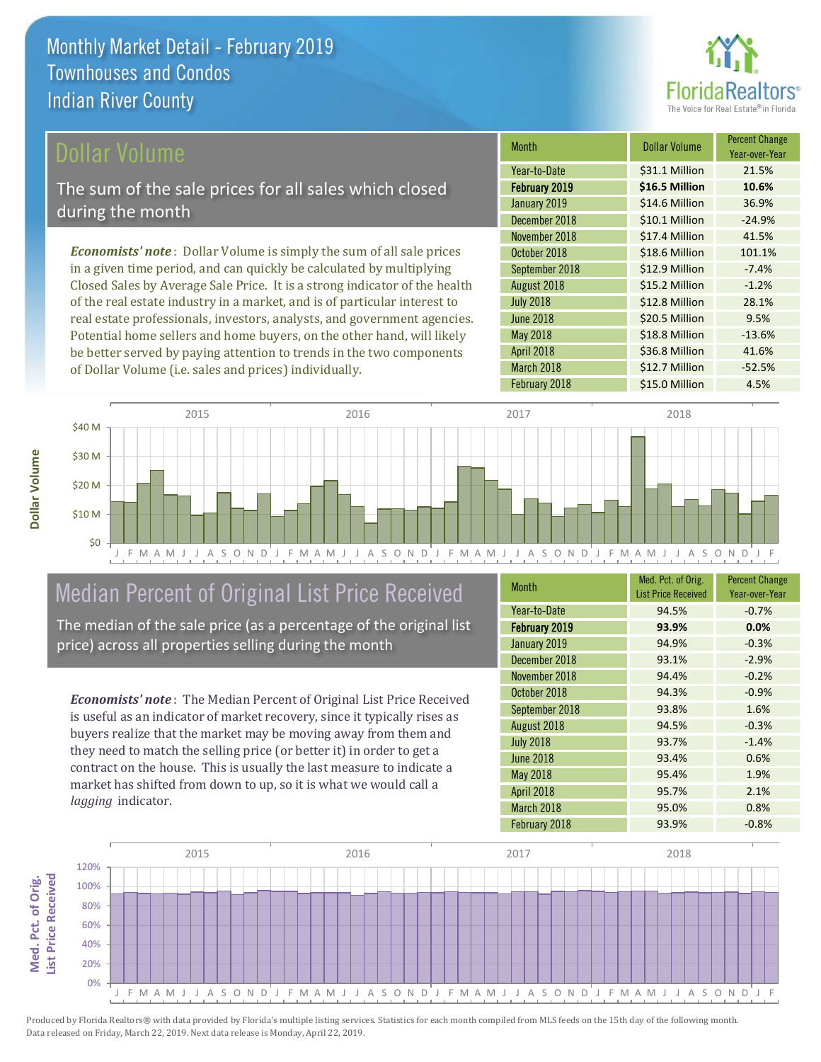

#### Dollar Volume

The sum of the sale prices for all sales which closed during the month

*Economists' note* : Dollar Volume is simply the sum of all sale prices in a given time period, and can quickly be calculated by multiplying Closed Sales by Average Sale Price. It is a strong indicator of the health of the real estate industry in a market, and is of particular interest to real estate professionals, investors, analysts, and government agencies. Potential home sellers and home buyers, on the other hand, will likely be better served by paying attention to trends in the two components of Dollar Volume (i.e. sales and prices) individually.

| <b>Month</b>     | <b>Dollar Volume</b> | <b>Percent Change</b><br>Year-over-Year |
|------------------|----------------------|-----------------------------------------|
| Year-to-Date     | \$31.1 Million       | 21.5%                                   |
| February 2019    | \$16.5 Million       | 10.6%                                   |
| January 2019     | \$14.6 Million       | 36.9%                                   |
| December 2018    | \$10.1 Million       | $-24.9%$                                |
| November 2018    | \$17.4 Million       | 41.5%                                   |
| October 2018     | \$18.6 Million       | 101.1%                                  |
| September 2018   | \$12.9 Million       | $-7.4%$                                 |
| August 2018      | \$15.2 Million       | $-1.2%$                                 |
| <b>July 2018</b> | \$12.8 Million       | 28.1%                                   |
| <b>June 2018</b> | \$20.5 Million       | 9.5%                                    |
| May 2018         | \$18.8 Million       | $-13.6%$                                |
| April 2018       | \$36.8 Million       | 41.6%                                   |
| March 2018       | \$12.7 Million       | $-52.5%$                                |
| February 2018    | \$15.0 Million       | 4.5%                                    |



## Median Percent of Original List Price Received

The median of the sale price (as a percentage of the original list price) across all properties selling during the month

*Economists' note* : The Median Percent of Original List Price Received is useful as an indicator of market recovery, since it typically rises as buyers realize that the market may be moving away from them and they need to match the selling price (or better it) in order to get a contract on the house. This is usually the last measure to indicate a market has shifted from down to up, so it is what we would call a *lagging* indicator.

| <b>Month</b>         | Med. Pct. of Orig.<br><b>List Price Received</b> | <b>Percent Change</b><br>Year-over-Year |
|----------------------|--------------------------------------------------|-----------------------------------------|
| Year-to-Date         | 94.5%                                            | $-0.7%$                                 |
| <b>February 2019</b> | 93.9%                                            | 0.0%                                    |
| January 2019         | 94.9%                                            | $-0.3%$                                 |
| December 2018        | 93.1%                                            | $-2.9%$                                 |
| November 2018        | 94.4%                                            | $-0.2%$                                 |
| October 2018         | 94.3%                                            | $-0.9%$                                 |
| September 2018       | 93.8%                                            | 1.6%                                    |
| August 2018          | 94.5%                                            | $-0.3%$                                 |
| <b>July 2018</b>     | 93.7%                                            | $-1.4%$                                 |
| June 2018            | 93.4%                                            | 0.6%                                    |
| May 2018             | 95.4%                                            | 1.9%                                    |
| April 2018           | 95.7%                                            | 2.1%                                    |
| March 2018           | 95.0%                                            | 0.8%                                    |
| February 2018        | 93.9%                                            | $-0.8%$                                 |

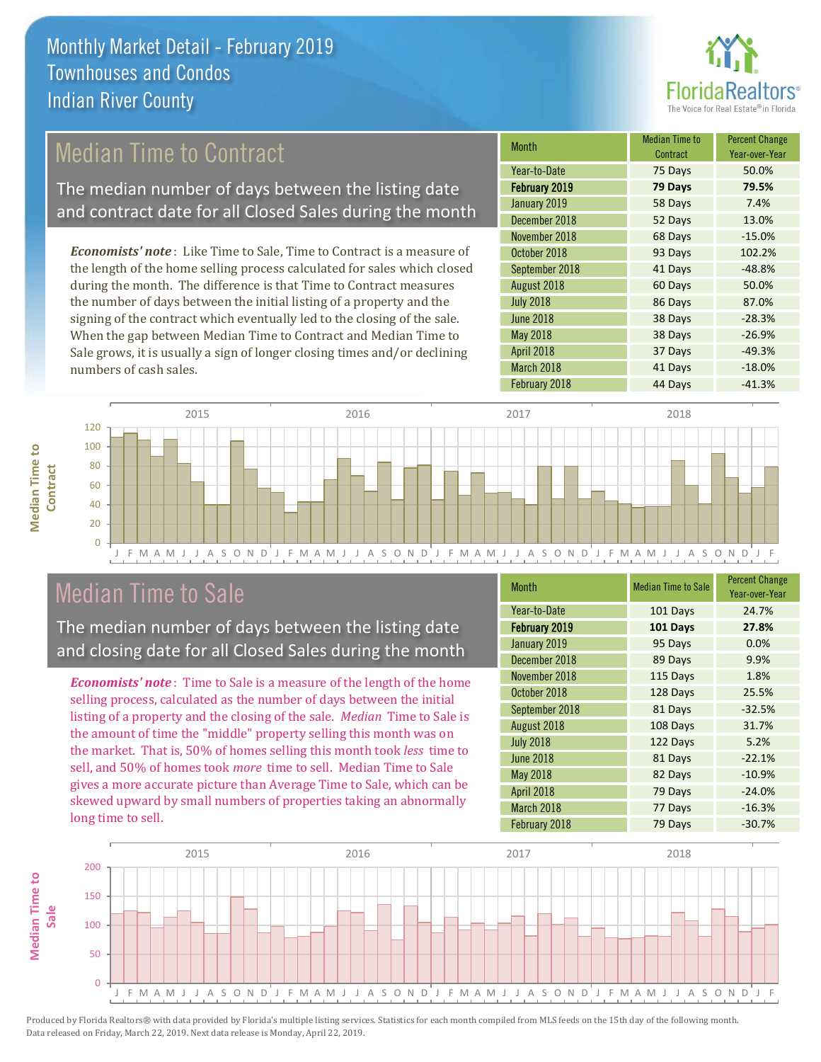

## Median Time to Contract

The median number of days between the listing date and contract date for all Closed Sales during the month

*Economists' note* : Like Time to Sale, Time to Contract is a measure of the length of the home selling process calculated for sales which closed during the month. The difference is that Time to Contract measures the number of days between the initial listing of a property and the signing of the contract which eventually led to the closing of the sale. When the gap between Median Time to Contract and Median Time to Sale grows, it is usually a sign of longer closing times and/or declining numbers of cash sales.

| Month            | <b>Median Time to</b><br>Contract | <b>Percent Change</b><br>Year-over-Year |
|------------------|-----------------------------------|-----------------------------------------|
| Year-to-Date     | 75 Days                           | 50.0%                                   |
| February 2019    | 79 Days                           | 79.5%                                   |
| January 2019     | 58 Days                           | 7.4%                                    |
| December 2018    | 52 Days                           | 13.0%                                   |
| November 2018    | 68 Days                           | $-15.0%$                                |
| October 2018     | 93 Days                           | 102.2%                                  |
| September 2018   | 41 Days                           | $-48.8%$                                |
| August 2018      | 60 Days                           | 50.0%                                   |
| <b>July 2018</b> | 86 Days                           | 87.0%                                   |
| <b>June 2018</b> | 38 Days                           | $-28.3%$                                |
| May 2018         | 38 Days                           | $-26.9%$                                |
| April 2018       | 37 Days                           | $-49.3%$                                |
| March 2018       | 41 Days                           | $-18.0%$                                |
| February 2018    | 44 Days                           | $-41.3%$                                |



### Median Time to Sale

**Median Time to** 

**Median Time to** 

The median number of days between the listing date and closing date for all Closed Sales during the month

*Economists' note* : Time to Sale is a measure of the length of the home selling process, calculated as the number of days between the initial listing of a property and the closing of the sale. *Median* Time to Sale is the amount of time the "middle" property selling this month was on the market. That is, 50% of homes selling this month took *less* time to sell, and 50% of homes took *more* time to sell. Median Time to Sale gives a more accurate picture than Average Time to Sale, which can be skewed upward by small numbers of properties taking an abnormally long time to sell.

| Month                | <b>Median Time to Sale</b> | <b>Percent Change</b><br>Year-over-Year |
|----------------------|----------------------------|-----------------------------------------|
| Year-to-Date         | 101 Days                   | 24.7%                                   |
| <b>February 2019</b> | 101 Days                   | 27.8%                                   |
| January 2019         | 95 Days                    | 0.0%                                    |
| December 2018        | 89 Days                    | 9.9%                                    |
| November 2018        | 115 Days                   | 1.8%                                    |
| October 2018         | 128 Days                   | 25.5%                                   |
| September 2018       | 81 Days                    | $-32.5%$                                |
| August 2018          | 108 Days                   | 31.7%                                   |
| <b>July 2018</b>     | 122 Days                   | 5.2%                                    |
| <b>June 2018</b>     | 81 Days                    | $-22.1%$                                |
| <b>May 2018</b>      | 82 Days                    | $-10.9%$                                |
| April 2018           | 79 Days                    | $-24.0%$                                |
| March 2018           | 77 Days                    | $-16.3%$                                |
| February 2018        | 79 Days                    | $-30.7%$                                |

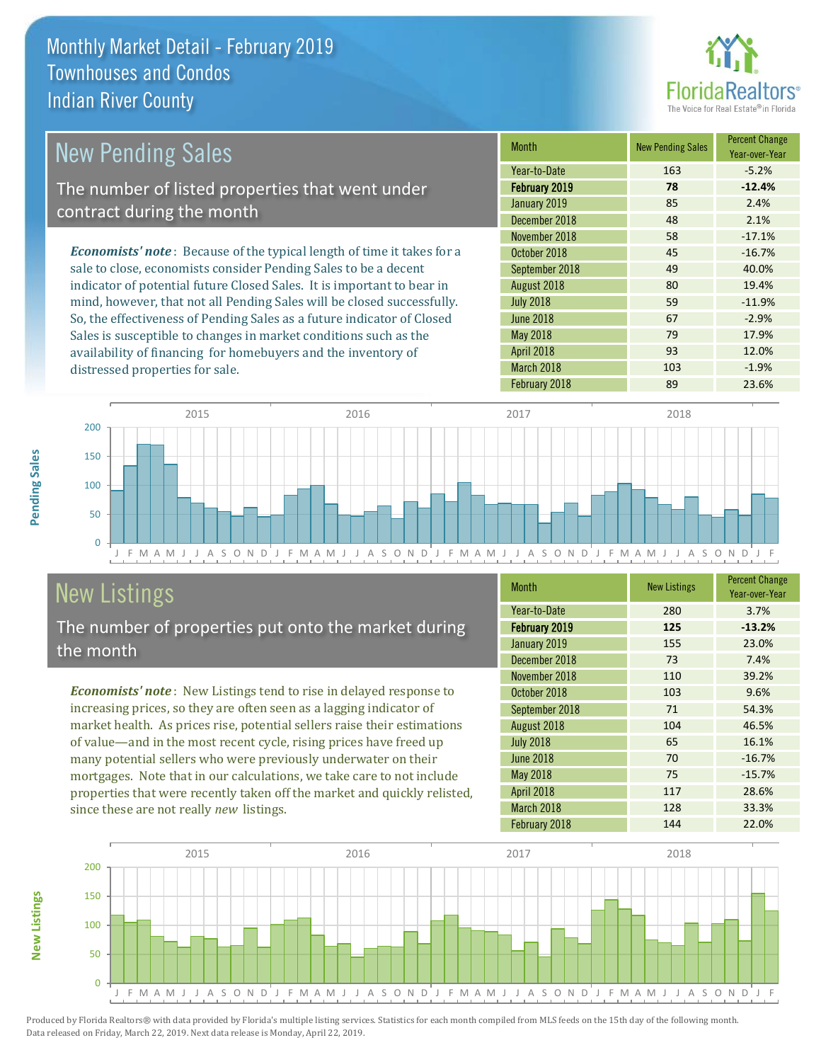

| New Pending Sales                                                              | <b>Month</b>     | <b>New Pending Sales</b> | <b>Percent Change</b><br>Year-over-Year |
|--------------------------------------------------------------------------------|------------------|--------------------------|-----------------------------------------|
|                                                                                | Year-to-Date     | 163                      | $-5.2%$                                 |
| The number of listed properties that went under                                | February 2019    | 78                       | $-12.4%$                                |
| contract during the month                                                      | January 2019     | 85                       | 2.4%                                    |
|                                                                                | December 2018    | 48                       | 2.1%                                    |
|                                                                                | November 2018    | 58                       | $-17.1%$                                |
| <b>Economists' note</b> : Because of the typical length of time it takes for a | October 2018     | 45                       | $-16.7%$                                |
| sale to close, economists consider Pending Sales to be a decent                | September 2018   | 49                       | 40.0%                                   |
| indicator of potential future Closed Sales. It is important to bear in         | August 2018      | 80                       | 19.4%                                   |
| mind, however, that not all Pending Sales will be closed successfully.         | <b>July 2018</b> | 59                       | $-11.9%$                                |
| So, the effectiveness of Pending Sales as a future indicator of Closed         | <b>June 2018</b> | 67                       | $-2.9%$                                 |
| Sales is susceptible to changes in market conditions such as the               | May 2018         | 79                       | 17.9%                                   |

J F M A M J J A S O N D J F M A M J J A S O N D J F M A M J J A S O N D J F M A M J J A S O N D J F 0 50 100 150 200 2015 2016 2017 2018

## New Listings

distressed properties for sale.

The number of properties put onto the market during the month

availability of financing for homebuyers and the inventory of

*Economists' note* : New Listings tend to rise in delayed response to increasing prices, so they are often seen as a lagging indicator of market health. As prices rise, potential sellers raise their estimations of value—and in the most recent cycle, rising prices have freed up many potential sellers who were previously underwater on their mortgages. Note that in our calculations, we take care to not include properties that were recently taken off the market and quickly relisted, since these are not really *new* listings.

| <b>Month</b>         | <b>New Listings</b> | <b>Percent Change</b><br>Year-over-Year |
|----------------------|---------------------|-----------------------------------------|
| Year-to-Date         | 280                 | 3.7%                                    |
| <b>February 2019</b> | 125                 | $-13.2%$                                |
| January 2019         | 155                 | 23.0%                                   |
| December 2018        | 73                  | 7.4%                                    |
| November 2018        | 110                 | 39.2%                                   |
| October 2018         | 103                 | 9.6%                                    |
| September 2018       | 71                  | 54.3%                                   |
| August 2018          | 104                 | 46.5%                                   |
| <b>July 2018</b>     | 65                  | 16.1%                                   |
| <b>June 2018</b>     | 70                  | $-16.7%$                                |
| <b>May 2018</b>      | 75                  | $-15.7%$                                |
| April 2018           | 117                 | 28.6%                                   |
| March 2018           | 128                 | 33.3%                                   |
| February 2018        | 144                 | 22.0%                                   |

April 2018 **93** 12.0% March 2018 103 103 -1.9% February 2018 **89 23.6%** 



Produced by Florida Realtors® with data provided by Florida's multiple listing services. Statistics for each month compiled from MLS feeds on the 15th day of the following month. Data released on Friday, March 22, 2019. Next data release is Monday, April 22, 2019.

**New Listings**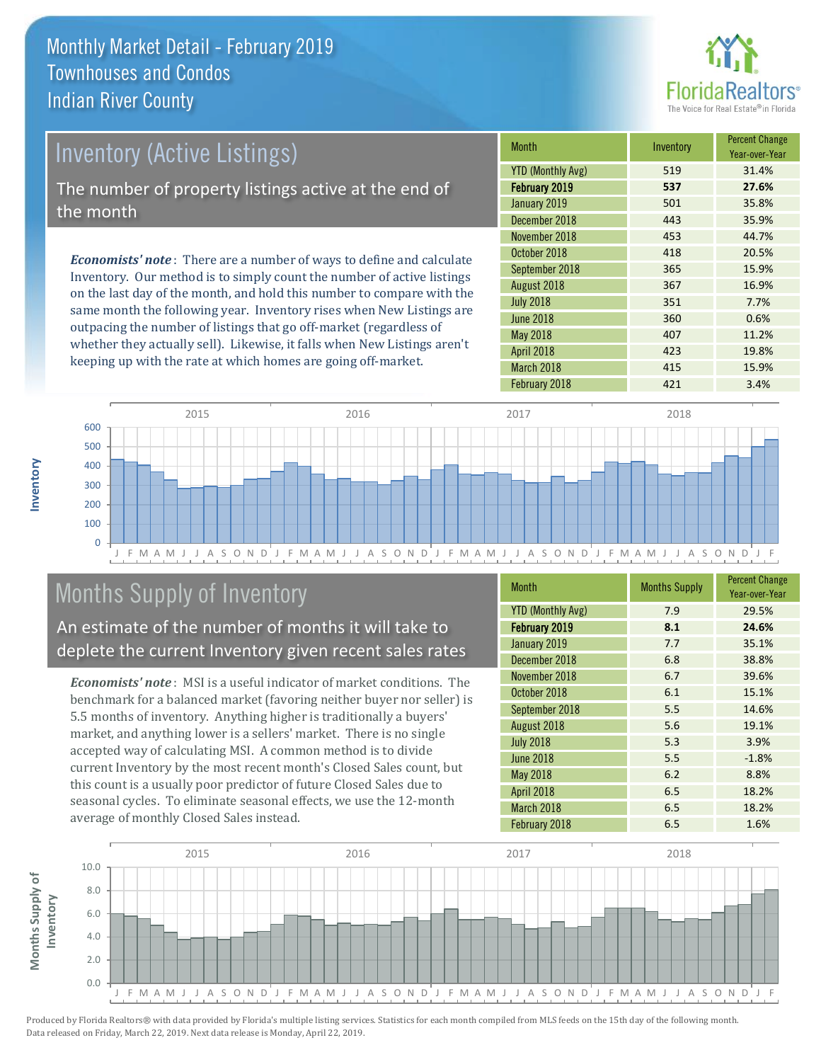

## Inventory (Active Listings) The number of property listings active at the end of the month

*Economists' note* : There are a number of ways to define and calculate Inventory. Our method is to simply count the number of active listings on the last day of the month, and hold this number to compare with the same month the following year. Inventory rises when New Listings are outpacing the number of listings that go off-market (regardless of whether they actually sell). Likewise, it falls when New Listings aren't keeping up with the rate at which homes are going off-market.

| <b>Month</b>             | Inventory | <b>Percent Change</b><br>Year-over-Year |
|--------------------------|-----------|-----------------------------------------|
| <b>YTD (Monthly Avg)</b> | 519       | 31.4%                                   |
| <b>February 2019</b>     | 537       | 27.6%                                   |
| January 2019             | 501       | 35.8%                                   |
| December 2018            | 443       | 35.9%                                   |
| November 2018            | 453       | 44.7%                                   |
| October 2018             | 418       | 20.5%                                   |
| September 2018           | 365       | 15.9%                                   |
| August 2018              | 367       | 16.9%                                   |
| <b>July 2018</b>         | 351       | 7.7%                                    |
| <b>June 2018</b>         | 360       | 0.6%                                    |
| <b>May 2018</b>          | 407       | 11.2%                                   |
| April 2018               | 423       | 19.8%                                   |
| March 2018               | 415       | 15.9%                                   |
| February 2018            | 421       | 3.4%                                    |



## Months Supply of Inventory

An estimate of the number of months it will take to deplete the current Inventory given recent sales rates

*Economists' note* : MSI is a useful indicator of market conditions. The benchmark for a balanced market (favoring neither buyer nor seller) is 5.5 months of inventory. Anything higher is traditionally a buyers' market, and anything lower is a sellers' market. There is no single accepted way of calculating MSI. A common method is to divide current Inventory by the most recent month's Closed Sales count, but this count is a usually poor predictor of future Closed Sales due to seasonal cycles. To eliminate seasonal effects, we use the 12-month average of monthly Closed Sales instead.

| <b>Month</b>             | <b>Months Supply</b> | <b>Percent Change</b><br>Year-over-Year |
|--------------------------|----------------------|-----------------------------------------|
| <b>YTD (Monthly Avg)</b> | 7.9                  | 29.5%                                   |
| February 2019            | 8.1                  | 24.6%                                   |
| January 2019             | 7.7                  | 35.1%                                   |
| December 2018            | 6.8                  | 38.8%                                   |
| November 2018            | 6.7                  | 39.6%                                   |
| October 2018             | 6.1                  | 15.1%                                   |
| September 2018           | 5.5                  | 14.6%                                   |
| August 2018              | 5.6                  | 19.1%                                   |
| <b>July 2018</b>         | 5.3                  | 3.9%                                    |
| <b>June 2018</b>         | 5.5                  | $-1.8%$                                 |
| May 2018                 | 6.2                  | 8.8%                                    |
| April 2018               | 6.5                  | 18.2%                                   |
| March 2018               | 6.5                  | 18.2%                                   |
| February 2018            | 6.5                  | 1.6%                                    |



**Inventory**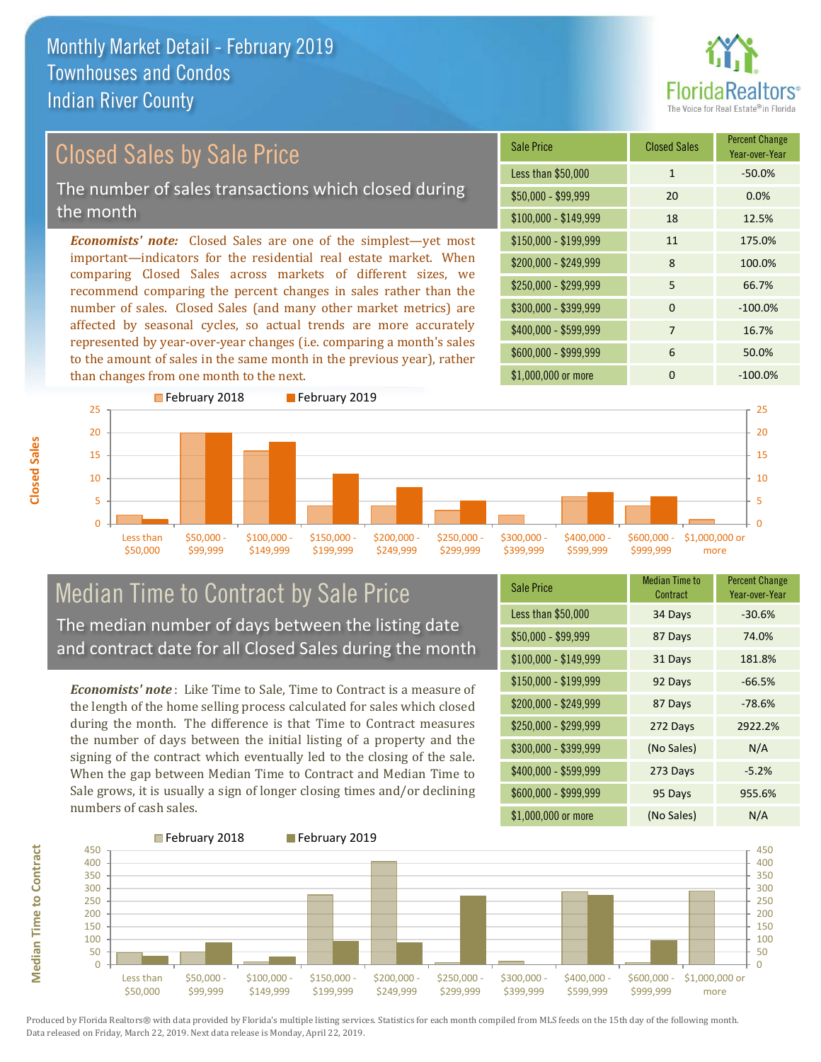

## Closed Sales by Sale Price

The number of sales transactions which closed during the month

*Economists' note:* Closed Sales are one of the simplest—yet most important—indicators for the residential real estate market. When comparing Closed Sales across markets of different sizes, we recommend comparing the percent changes in sales rather than the number of sales. Closed Sales (and many other market metrics) are affected by seasonal cycles, so actual trends are more accurately represented by year-over-year changes (i.e. comparing a month's sales to the amount of sales in the same month in the previous year), rather than changes from one month to the next.





#### Median Time to Contract by Sale Price The median number of days between the listing date and contract date for all Closed Sales during the month

*Economists' note* : Like Time to Sale, Time to Contract is a measure of the length of the home selling process calculated for sales which closed during the month. The difference is that Time to Contract measures the number of days between the initial listing of a property and the signing of the contract which eventually led to the closing of the sale. When the gap between Median Time to Contract and Median Time to Sale grows, it is usually a sign of longer closing times and/or declining numbers of cash sales.

| <b>Sale Price</b>     | Median Time to<br>Contract | <b>Percent Change</b><br>Year-over-Year |
|-----------------------|----------------------------|-----------------------------------------|
| Less than \$50,000    | 34 Days                    | $-30.6%$                                |
| $$50,000 - $99,999$   | 87 Days                    | 74.0%                                   |
| $$100,000 - $149,999$ | 31 Days                    | 181.8%                                  |
| $$150,000 - $199,999$ | 92 Days                    | $-66.5%$                                |
| \$200,000 - \$249,999 | 87 Days                    | $-78.6%$                                |
| \$250,000 - \$299,999 | 272 Days                   | 2922.2%                                 |
| \$300,000 - \$399,999 | (No Sales)                 | N/A                                     |
| \$400,000 - \$599,999 | 273 Days                   | $-5.2%$                                 |
| \$600,000 - \$999,999 | 95 Days                    | 955.6%                                  |
| \$1,000,000 or more   | (No Sales)                 | N/A                                     |

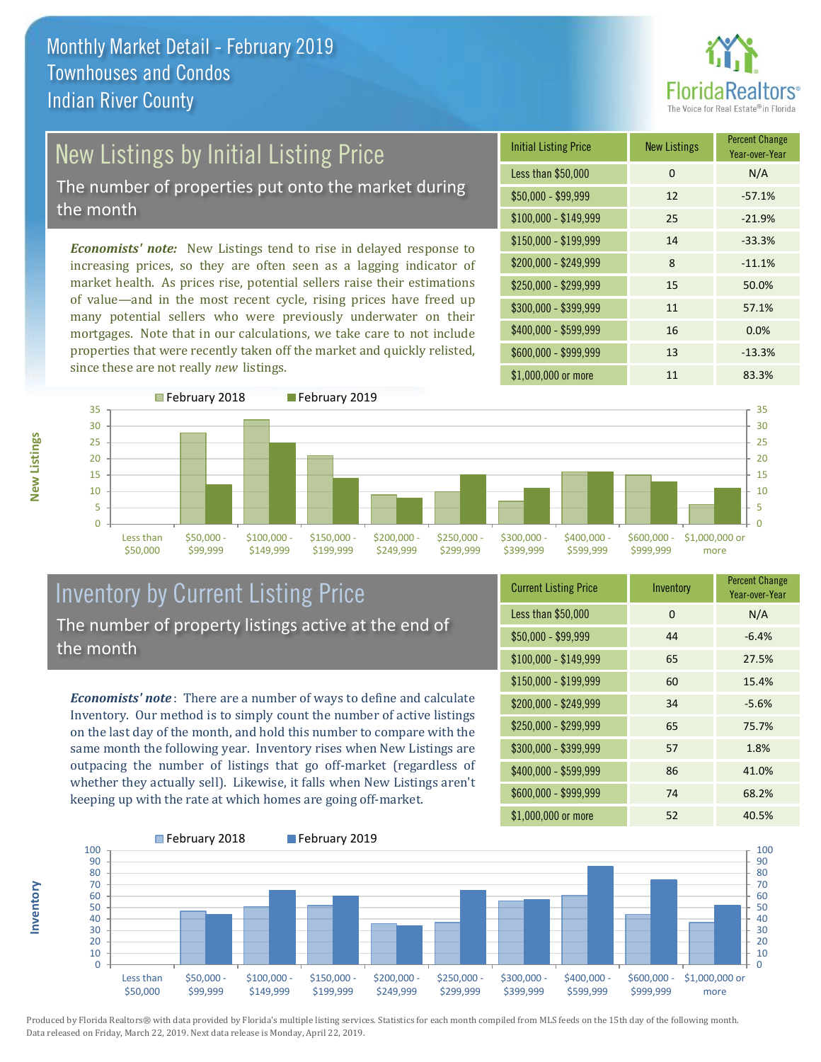

# New Listings by Initial Listing Price

The number of properties put onto the market during the month

*Economists' note:* New Listings tend to rise in delayed response to increasing prices, so they are often seen as a lagging indicator of market health. As prices rise, potential sellers raise their estimations of value—and in the most recent cycle, rising prices have freed up many potential sellers who were previously underwater on their mortgages. Note that in our calculations, we take care to not include properties that were recently taken off the market and quickly relisted, since these are not really *new* listings.





#### Inventory by Current Listing Price The number of property listings active at the end of the month

*Economists' note* : There are a number of ways to define and calculate Inventory. Our method is to simply count the number of active listings on the last day of the month, and hold this number to compare with the same month the following year. Inventory rises when New Listings are outpacing the number of listings that go off-market (regardless of whether they actually sell). Likewise, it falls when New Listings aren't keeping up with the rate at which homes are going off-market.

| <b>Current Listing Price</b> | Inventory | <b>Percent Change</b><br>Year-over-Year |
|------------------------------|-----------|-----------------------------------------|
| Less than \$50,000           | $\Omega$  | N/A                                     |
| $$50,000 - $99,999$          | 44        | $-6.4%$                                 |
| $$100,000 - $149,999$        | 65        | 27.5%                                   |
| $$150,000 - $199,999$        | 60        | 15.4%                                   |
| \$200,000 - \$249,999        | 34        | $-5.6%$                                 |
| \$250,000 - \$299,999        | 65        | 75.7%                                   |
| \$300,000 - \$399,999        | 57        | 1.8%                                    |
| \$400,000 - \$599,999        | 86        | 41.0%                                   |
| \$600,000 - \$999,999        | 74        | 68.2%                                   |
| \$1,000,000 or more          | 52        | 40.5%                                   |



Produced by Florida Realtors® with data provided by Florida's multiple listing services. Statistics for each month compiled from MLS feeds on the 15th day of the following month. Data released on Friday, March 22, 2019. Next data release is Monday, April 22, 2019.

**Inventory**